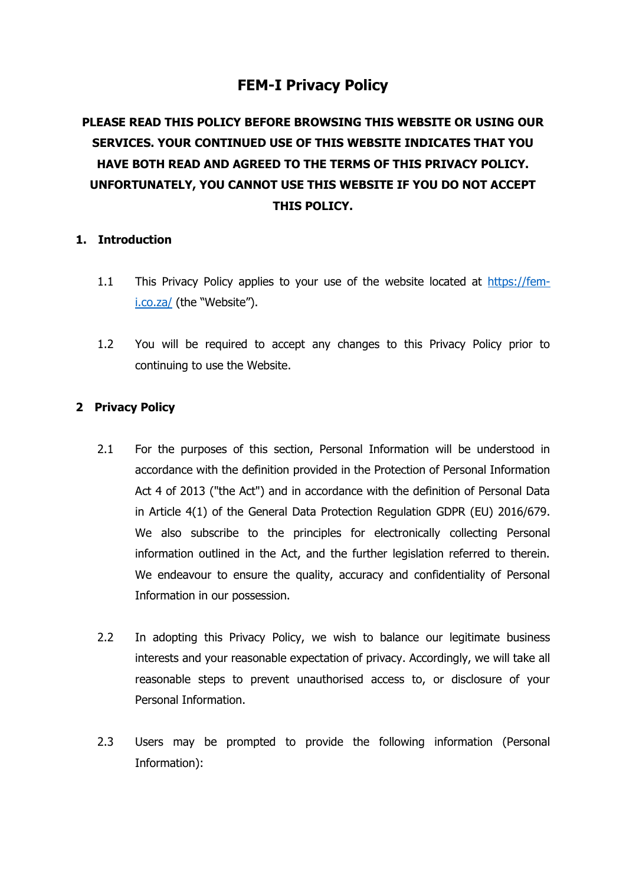# **FEM-I Privacy Policy**

# **PLEASE READ THIS POLICY BEFORE BROWSING THIS WEBSITE OR USING OUR SERVICES. YOUR CONTINUED USE OF THIS WEBSITE INDICATES THAT YOU HAVE BOTH READ AND AGREED TO THE TERMS OF THIS PRIVACY POLICY. UNFORTUNATELY, YOU CANNOT USE THIS WEBSITE IF YOU DO NOT ACCEPT THIS POLICY.**

## **1. Introduction**

- 1.1 This Privacy Policy applies to your use of the website located at [https://fem](https://fem-i.co.za/)[i.co.za/](https://fem-i.co.za/) (the "Website").
- 1.2 You will be required to accept any changes to this Privacy Policy prior to continuing to use the Website.

## **2 Privacy Policy**

- 2.1 For the purposes of this section, Personal Information will be understood in accordance with the definition provided in the Protection of Personal Information Act 4 of 2013 ("the Act") and in accordance with the definition of Personal Data in Article 4(1) of the General Data Protection Regulation GDPR (EU) 2016/679. We also subscribe to the principles for electronically collecting Personal information outlined in the Act, and the further legislation referred to therein. We endeavour to ensure the quality, accuracy and confidentiality of Personal Information in our possession.
- 2.2 In adopting this Privacy Policy, we wish to balance our legitimate business interests and your reasonable expectation of privacy. Accordingly, we will take all reasonable steps to prevent unauthorised access to, or disclosure of your Personal Information.
- 2.3 Users may be prompted to provide the following information (Personal Information):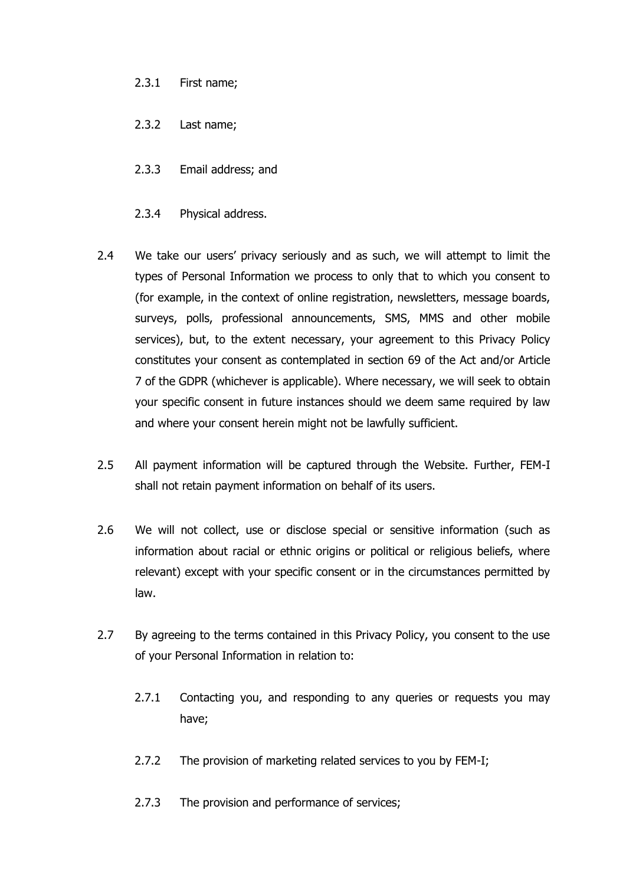## 2.3.1 First name;

- 2.3.2 Last name;
- 2.3.3 Email address; and
- 2.3.4 Physical address.
- 2.4 We take our users' privacy seriously and as such, we will attempt to limit the types of Personal Information we process to only that to which you consent to (for example, in the context of online registration, newsletters, message boards, surveys, polls, professional announcements, SMS, MMS and other mobile services), but, to the extent necessary, your agreement to this Privacy Policy constitutes your consent as contemplated in section 69 of the Act and/or Article 7 of the GDPR (whichever is applicable). Where necessary, we will seek to obtain your specific consent in future instances should we deem same required by law and where your consent herein might not be lawfully sufficient.
- 2.5 All payment information will be captured through the Website. Further, FEM-I shall not retain payment information on behalf of its users.
- 2.6 We will not collect, use or disclose special or sensitive information (such as information about racial or ethnic origins or political or religious beliefs, where relevant) except with your specific consent or in the circumstances permitted by law.
- 2.7 By agreeing to the terms contained in this Privacy Policy, you consent to the use of your Personal Information in relation to:
	- 2.7.1 Contacting you, and responding to any queries or requests you may have;
	- 2.7.2 The provision of marketing related services to you by FEM-I;
	- 2.7.3 The provision and performance of services;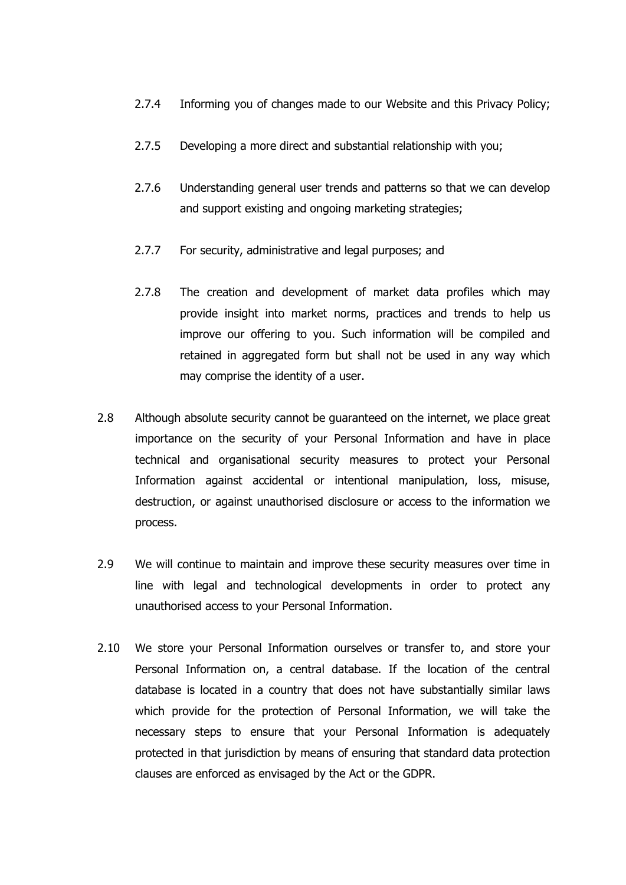- 2.7.4 Informing you of changes made to our Website and this Privacy Policy;
- 2.7.5 Developing a more direct and substantial relationship with you;
- 2.7.6 Understanding general user trends and patterns so that we can develop and support existing and ongoing marketing strategies;
- 2.7.7 For security, administrative and legal purposes; and
- 2.7.8 The creation and development of market data profiles which may provide insight into market norms, practices and trends to help us improve our offering to you. Such information will be compiled and retained in aggregated form but shall not be used in any way which may comprise the identity of a user.
- 2.8 Although absolute security cannot be guaranteed on the internet, we place great importance on the security of your Personal Information and have in place technical and organisational security measures to protect your Personal Information against accidental or intentional manipulation, loss, misuse, destruction, or against unauthorised disclosure or access to the information we process.
- 2.9 We will continue to maintain and improve these security measures over time in line with legal and technological developments in order to protect any unauthorised access to your Personal Information.
- 2.10 We store your Personal Information ourselves or transfer to, and store your Personal Information on, a central database. If the location of the central database is located in a country that does not have substantially similar laws which provide for the protection of Personal Information, we will take the necessary steps to ensure that your Personal Information is adequately protected in that jurisdiction by means of ensuring that standard data protection clauses are enforced as envisaged by the Act or the GDPR.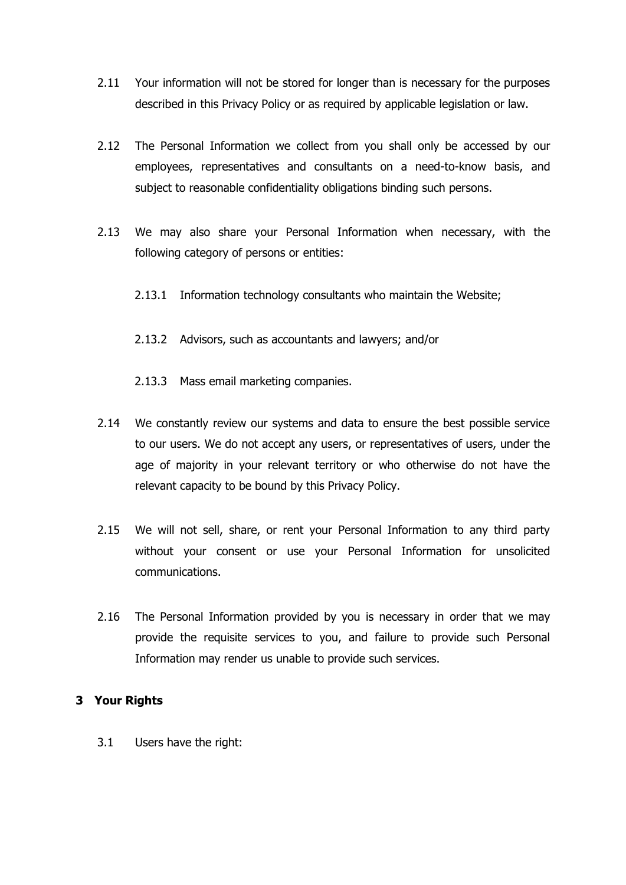- 2.11 Your information will not be stored for longer than is necessary for the purposes described in this Privacy Policy or as required by applicable legislation or law.
- 2.12 The Personal Information we collect from you shall only be accessed by our employees, representatives and consultants on a need-to-know basis, and subject to reasonable confidentiality obligations binding such persons.
- 2.13 We may also share your Personal Information when necessary, with the following category of persons or entities:
	- 2.13.1 Information technology consultants who maintain the Website;
	- 2.13.2 Advisors, such as accountants and lawyers; and/or
	- 2.13.3 Mass email marketing companies.
- 2.14 We constantly review our systems and data to ensure the best possible service to our users. We do not accept any users, or representatives of users, under the age of majority in your relevant territory or who otherwise do not have the relevant capacity to be bound by this Privacy Policy.
- 2.15 We will not sell, share, or rent your Personal Information to any third party without your consent or use your Personal Information for unsolicited communications.
- 2.16 The Personal Information provided by you is necessary in order that we may provide the requisite services to you, and failure to provide such Personal Information may render us unable to provide such services.

# **3 Your Rights**

3.1 Users have the right: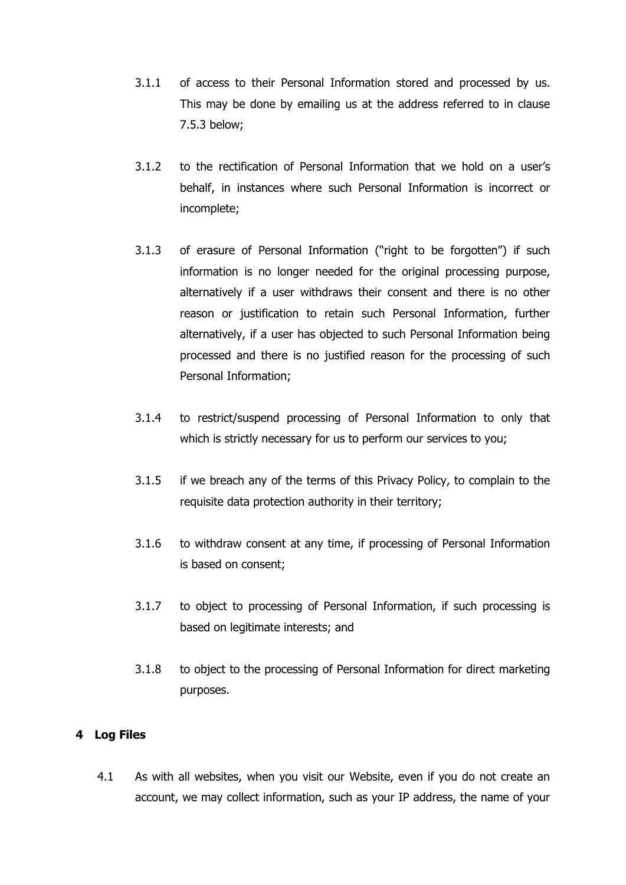- 3.1.1 of access to their Personal Information stored and processed by us. This may be done by emailing us at the address referred to in clause [7.5.3](#page-7-0) below;
- 3.1.2 to the rectification of Personal Information that we hold on a user's behalf, in instances where such Personal Information is incorrect or incomplete;
- 3.1.3 of erasure of Personal Information ("right to be forgotten") if such information is no longer needed for the original processing purpose, alternatively if a user withdraws their consent and there is no other reason or justification to retain such Personal Information, further alternatively, if a user has objected to such Personal Information being processed and there is no justified reason for the processing of such Personal Information;
- 3.1.4 to restrict/suspend processing of Personal Information to only that which is strictly necessary for us to perform our services to you;
- 3.1.5 if we breach any of the terms of this Privacy Policy, to complain to the requisite data protection authority in their territory;
- 3.1.6 to withdraw consent at any time, if processing of Personal Information is based on consent;
- 3.1.7 to object to processing of Personal Information, if such processing is based on legitimate interests; and
- 3.1.8 to object to the processing of Personal Information for direct marketing purposes.

## **4 Log Files**

4.1 As with all websites, when you visit our Website, even if you do not create an account, we may collect information, such as your IP address, the name of your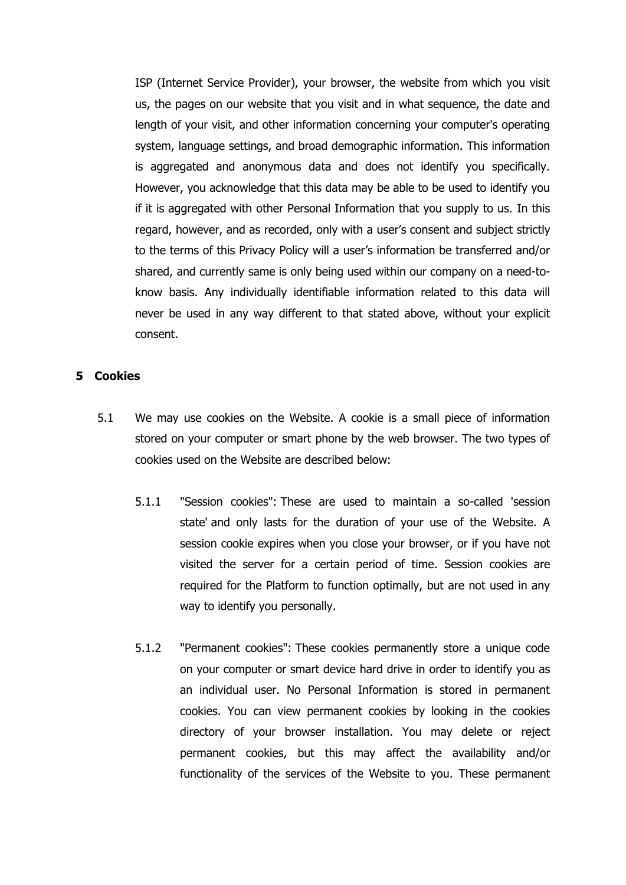ISP (Internet Service Provider), your browser, the website from which you visit us, the pages on our website that you visit and in what sequence, the date and length of your visit, and other information concerning your computer's operating system, language settings, and broad demographic information. This information is aggregated and anonymous data and does not identify you specifically. However, you acknowledge that this data may be able to be used to identify you if it is aggregated with other Personal Information that you supply to us. In this regard, however, and as recorded, only with a user's consent and subject strictly to the terms of this Privacy Policy will a user's information be transferred and/or shared, and currently same is only being used within our company on a need-toknow basis. Any individually identifiable information related to this data will never be used in any way different to that stated above, without your explicit consent.

#### **5 Cookies**

- 5.1 We may use cookies on the Website. A cookie is a small piece of information stored on your computer or smart phone by the web browser. The two types of cookies used on the Website are described below:
	- 5.1.1 "Session cookies": These are used to maintain a so-called 'session state' and only lasts for the duration of your use of the Website. A session cookie expires when you close your browser, or if you have not visited the server for a certain period of time. Session cookies are required for the Platform to function optimally, but are not used in any way to identify you personally.
	- 5.1.2 "Permanent cookies": These cookies permanently store a unique code on your computer or smart device hard drive in order to identify you as an individual user. No Personal Information is stored in permanent cookies. You can view permanent cookies by looking in the cookies directory of your browser installation. You may delete or reject permanent cookies, but this may affect the availability and/or functionality of the services of the Website to you. These permanent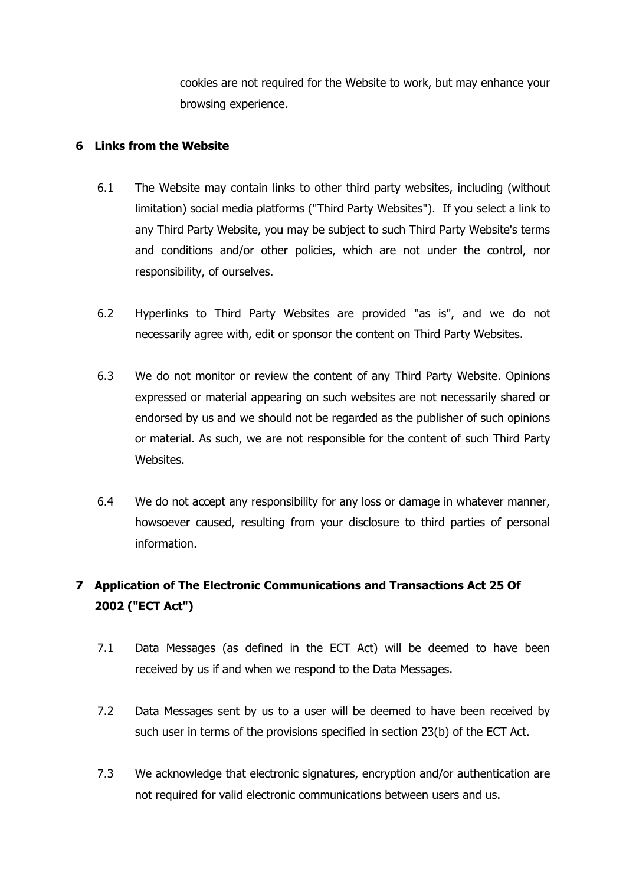cookies are not required for the Website to work, but may enhance your browsing experience.

# **6 Links from the Website**

- 6.1 The Website may contain links to other third party websites, including (without limitation) social media platforms ("Third Party Websites"). If you select a link to any Third Party Website, you may be subject to such Third Party Website's terms and conditions and/or other policies, which are not under the control, nor responsibility, of ourselves.
- 6.2 Hyperlinks to Third Party Websites are provided "as is", and we do not necessarily agree with, edit or sponsor the content on Third Party Websites.
- 6.3 We do not monitor or review the content of any Third Party Website. Opinions expressed or material appearing on such websites are not necessarily shared or endorsed by us and we should not be regarded as the publisher of such opinions or material. As such, we are not responsible for the content of such Third Party Websites.
- 6.4 We do not accept any responsibility for any loss or damage in whatever manner, howsoever caused, resulting from your disclosure to third parties of personal information.

# **7 Application of The Electronic Communications and Transactions Act 25 Of 2002 ("ECT Act")**

- 7.1 Data Messages (as defined in the ECT Act) will be deemed to have been received by us if and when we respond to the Data Messages.
- 7.2 Data Messages sent by us to a user will be deemed to have been received by such user in terms of the provisions specified in section 23(b) of the ECT Act.
- 7.3 We acknowledge that electronic signatures, encryption and/or authentication are not required for valid electronic communications between users and us.